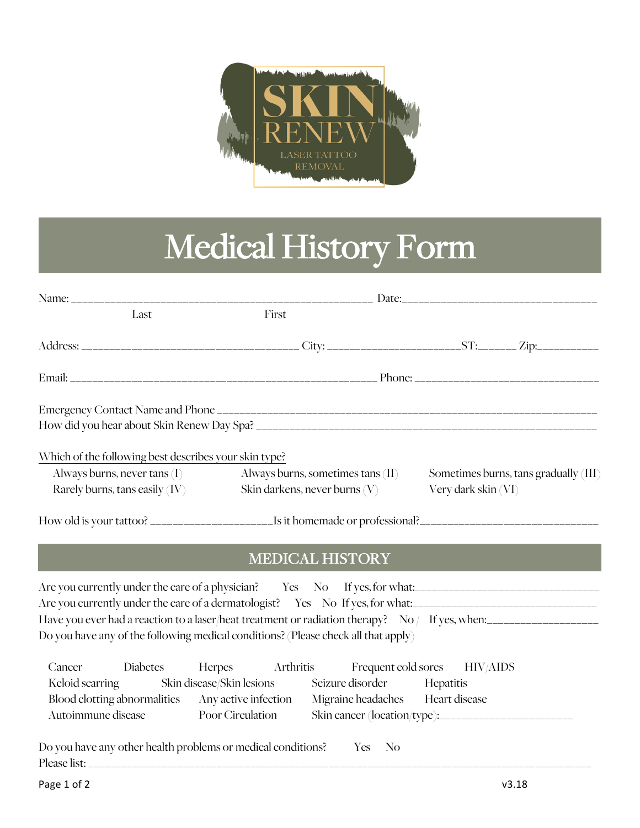

## Medical History Form

| Last                                                  |                                                                | First                         |                     |                                       |
|-------------------------------------------------------|----------------------------------------------------------------|-------------------------------|---------------------|---------------------------------------|
|                                                       |                                                                |                               |                     |                                       |
|                                                       |                                                                |                               |                     |                                       |
|                                                       |                                                                |                               |                     |                                       |
|                                                       |                                                                |                               |                     |                                       |
| Which of the following best describes your skin type? |                                                                |                               |                     |                                       |
|                                                       | Always burns, never tans (I) Always burns, sometimes tans (II) |                               |                     | Sometimes burns, tans gradually (III) |
| Rarely burns, tans easily (IV)                        |                                                                | Skin darkens, never burns (V) | Very dark skin (VI) |                                       |
|                                                       |                                                                |                               |                     |                                       |
|                                                       |                                                                | <b>MEDICAL HISTORY</b>        |                     |                                       |

## MEDICAL HISTORY

| Are you currently under the care of a physician? Yes No If yes, for what:                         |
|---------------------------------------------------------------------------------------------------|
| Are you currently under the care of a dermatologist? Yes No If yes, for what:                     |
| Have you ever had a reaction to a laser/heat treatment or radiation therapy? No $/$ If yes, when: |
| Do you have any of the following medical conditions? (Please check all that apply)                |

|                    |                                                              |                  |        | Cancer Diabetes Herpes Arthritis Frequent cold sores HIV/AIDS        |  |
|--------------------|--------------------------------------------------------------|------------------|--------|----------------------------------------------------------------------|--|
|                    |                                                              |                  |        | Keloid scarring Skin disease/Skin lesions Seizure disorder Hepatitis |  |
|                    | Blood clotting abnormalities Any active infection            |                  |        | Migraine headaches Heart disease                                     |  |
| Autoimmune disease |                                                              | Poor Circulation |        |                                                                      |  |
|                    |                                                              |                  |        |                                                                      |  |
|                    | Do you have any other health problems or medical conditions? |                  | Yes No |                                                                      |  |
| Please list:       |                                                              |                  |        |                                                                      |  |